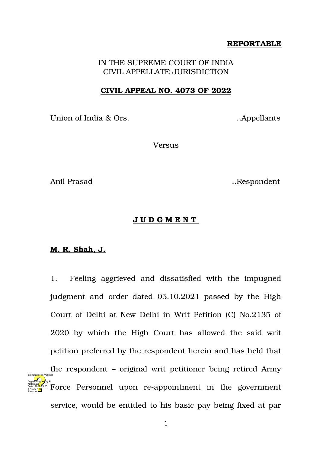## **REPORTABLE**

IN THE SUPREME COURT OF INDIA CIVIL APPELLATE JURISDICTION

## **CIVIL APPEAL NO. 4073 OF 2022**

Union of India & Ors. 2008. Appellants

Versus

Anil Prasad ... Respondent

## **J U D G M E N T**

## **M. R. Shah, J.**

Natarajan

17:52:27 IST Reason:

1. Feeling aggrieved and dissatisfied with the impugned judgment and order dated 05.10.2021 passed by the High Court of Delhi at New Delhi in Writ Petition (C) No.2135 of 2020 by which the High Court has allowed the said writ petition preferred by the respondent herein and has held that the respondent – original writ petitioner being retired Army Designations of the second interaction in the government  $\frac{\text{Poisson}(\mathbf{F})}{\text{Poisson}(\mathbf{F})}$  Rorce Personnel upon re-appointment in the government service, would be entitled to his basic pay being fixed at par Date: 2022.05.20 Signature Not Verified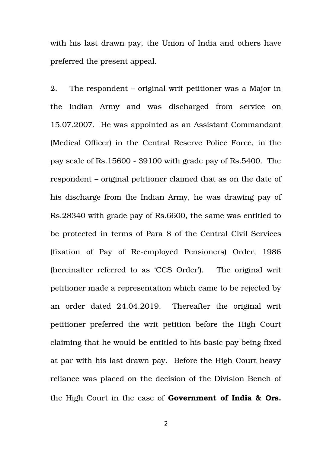with his last drawn pay, the Union of India and others have preferred the present appeal.

2. The respondent – original writ petitioner was a Major in the Indian Army and was discharged from service on 15.07.2007. He was appointed as an Assistant Commandant (Medical Officer) in the Central Reserve Police Force, in the pay scale of Rs.15600 39100 with grade pay of Rs.5400. The respondent – original petitioner claimed that as on the date of his discharge from the Indian Army, he was drawing pay of Rs.28340 with grade pay of Rs.6600, the same was entitled to be protected in terms of Para 8 of the Central Civil Services (fixation of Pay of Re-employed Pensioners) Order, 1986 (hereinafter referred to as 'CCS Order'). The original writ petitioner made a representation which came to be rejected by an order dated 24.04.2019. Thereafter the original writ petitioner preferred the writ petition before the High Court claiming that he would be entitled to his basic pay being fixed at par with his last drawn pay. Before the High Court heavy reliance was placed on the decision of the Division Bench of the High Court in the case of **Government of India & Ors.**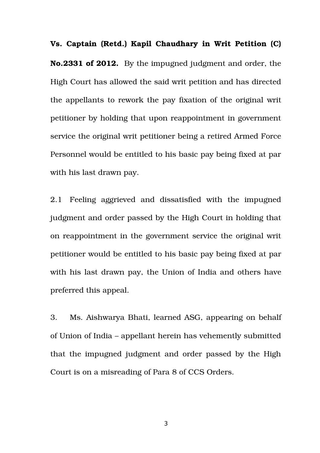**Vs. Captain (Retd.) Kapil Chaudhary in Writ Petition (C) No.2331 of 2012.** By the impugned judgment and order, the High Court has allowed the said writ petition and has directed the appellants to rework the pay fixation of the original writ petitioner by holding that upon reappointment in government service the original writ petitioner being a retired Armed Force Personnel would be entitled to his basic pay being fixed at par with his last drawn pay.

2.1 Feeling aggrieved and dissatisfied with the impugned judgment and order passed by the High Court in holding that on reappointment in the government service the original writ petitioner would be entitled to his basic pay being fixed at par with his last drawn pay, the Union of India and others have preferred this appeal.

3. Ms. Aishwarya Bhati, learned ASG, appearing on behalf of Union of India – appellant herein has vehemently submitted that the impugned judgment and order passed by the High Court is on a misreading of Para 8 of CCS Orders.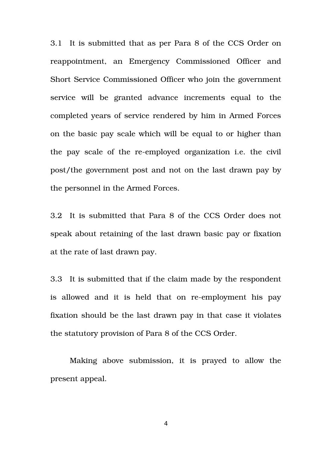3.1 It is submitted that as per Para 8 of the CCS Order on reappointment, an Emergency Commissioned Officer and Short Service Commissioned Officer who join the government service will be granted advance increments equal to the completed years of service rendered by him in Armed Forces on the basic pay scale which will be equal to or higher than the pay scale of the re-employed organization i.e. the civil post/the government post and not on the last drawn pay by the personnel in the Armed Forces.

3.2 It is submitted that Para 8 of the CCS Order does not speak about retaining of the last drawn basic pay or fixation at the rate of last drawn pay.

3.3 It is submitted that if the claim made by the respondent is allowed and it is held that on re-employment his pay fixation should be the last drawn pay in that case it violates the statutory provision of Para 8 of the CCS Order.

Making above submission, it is prayed to allow the present appeal.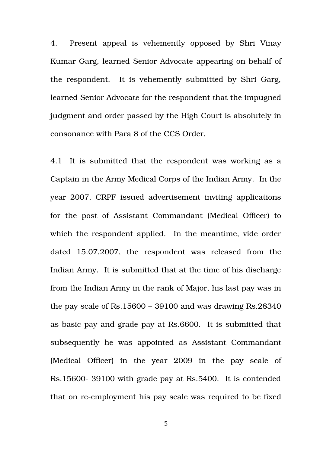4. Present appeal is vehemently opposed by Shri Vinay Kumar Garg, learned Senior Advocate appearing on behalf of the respondent. It is vehemently submitted by Shri Garg, learned Senior Advocate for the respondent that the impugned judgment and order passed by the High Court is absolutely in consonance with Para 8 of the CCS Order.

4.1 It is submitted that the respondent was working as a Captain in the Army Medical Corps of the Indian Army. In the year 2007, CRPF issued advertisement inviting applications for the post of Assistant Commandant (Medical Officer) to which the respondent applied. In the meantime, vide order dated 15.07.2007, the respondent was released from the Indian Army. It is submitted that at the time of his discharge from the Indian Army in the rank of Major, his last pay was in the pay scale of Rs.15600 – 39100 and was drawing  $Rs.28340$ as basic pay and grade pay at Rs.6600. It is submitted that subsequently he was appointed as Assistant Commandant (Medical Officer) in the year 2009 in the pay scale of Rs.15600-39100 with grade pay at Rs.5400. It is contended that on re-employment his pay scale was required to be fixed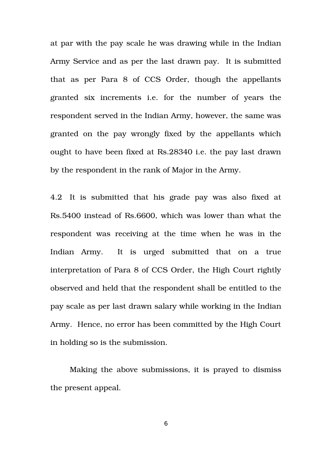at par with the pay scale he was drawing while in the Indian Army Service and as per the last drawn pay. It is submitted that as per Para  $8$  of  $CCS$  Order, though the appellants granted six increments i.e. for the number of years the respondent served in the Indian Army, however, the same was granted on the pay wrongly fixed by the appellants which ought to have been fixed at Rs.28340 i.e. the pay last drawn by the respondent in the rank of Major in the Army.

4.2 It is submitted that his grade pay was also fixed at Rs.5400 instead of Rs.6600, which was lower than what the respondent was receiving at the time when he was in the Indian Army. It is urged submitted that on a true interpretation of Para 8 of CCS Order, the High Court rightly observed and held that the respondent shall be entitled to the pay scale as per last drawn salary while working in the Indian Army. Hence, no error has been committed by the High Court in holding so is the submission.

Making the above submissions, it is prayed to dismiss the present appeal.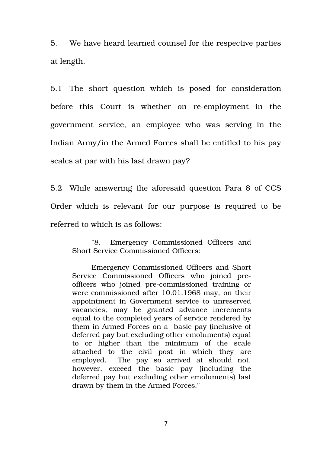5. We have heard learned counsel for the respective parties at length.

5.1 The short question which is posed for consideration before this Court is whether on re-employment in the government service, an employee who was serving in the Indian Army/in the Armed Forces shall be entitled to his pay scales at par with his last drawn pay?

5.2 While answering the aforesaid question Para 8 of CCS Order which is relevant for our purpose is required to be referred to which is as follows:

"8. Emergency Commissioned Officers and Short Service Commissioned Officers:

Emergency Commissioned Officers and Short Service Commissioned Officers who joined preofficers who joined precommissioned training or were commissioned after 10.01.1968 may, on their appointment in Government service to unreserved vacancies, may be granted advance increments equal to the completed years of service rendered by them in Armed Forces on a basic pay (inclusive of deferred pay but excluding other emoluments) equal to or higher than the minimum of the scale attached to the civil post in which they are employed. The pay so arrived at should not, however, exceed the basic pay (including the deferred pay but excluding other emoluments) last drawn by them in the Armed Forces."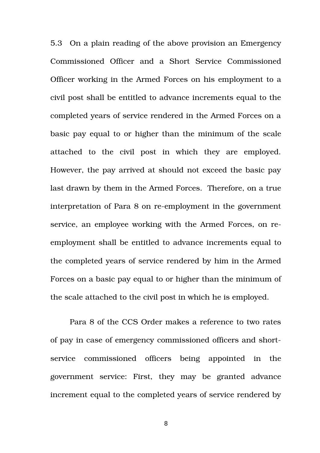5.3 On a plain reading of the above provision an Emergency Commissioned Officer and a Short Service Commissioned Officer working in the Armed Forces on his employment to a civil post shall be entitled to advance increments equal to the completed years of service rendered in the Armed Forces on a basic pay equal to or higher than the minimum of the scale attached to the civil post in which they are employed. However, the pay arrived at should not exceed the basic pay last drawn by them in the Armed Forces. Therefore, on a true interpretation of Para 8 on re-employment in the government service, an employee working with the Armed Forces, on reemployment shall be entitled to advance increments equal to the completed years of service rendered by him in the Armed Forces on a basic pay equal to or higher than the minimum of the scale attached to the civil post in which he is employed.

Para 8 of the CCS Order makes a reference to two rates of pay in case of emergency commissioned officers and shortservice commissioned officers being appointed in the government service: First, they may be granted advance increment equal to the completed years of service rendered by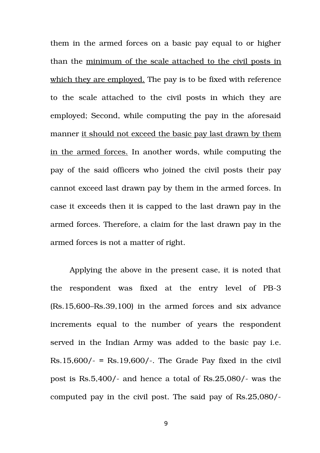them in the armed forces on a basic pay equal to or higher than the minimum of the scale attached to the civil posts in which they are employed. The pay is to be fixed with reference to the scale attached to the civil posts in which they are employed; Second, while computing the pay in the aforesaid manner it should not exceed the basic pay last drawn by them in the armed forces. In another words, while computing the pay of the said officers who joined the civil posts their pay cannot exceed last drawn pay by them in the armed forces. In case it exceeds then it is capped to the last drawn pay in the armed forces. Therefore, a claim for the last drawn pay in the armed forces is not a matter of right.

Applying the above in the present case, it is noted that the respondent was fixed at the entry level of PB-3 (Rs.15,600–Rs.39,100) in the armed forces and six advance increments equal to the number of years the respondent served in the Indian Army was added to the basic pay i.e.  $Rs.15,600/ -$  =  $Rs.19,600/ -$ . The Grade Pay fixed in the civil post is  $\text{Rs.}5,400/$ - and hence a total of  $\text{Rs.}25,080/$ - was the computed pay in the civil post. The said pay of Rs.25,080/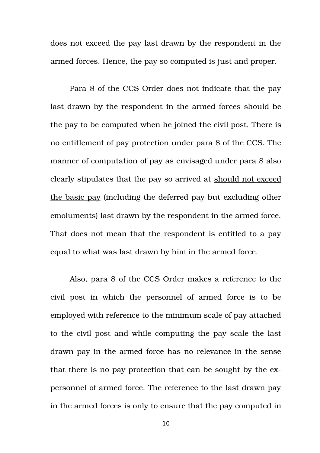does not exceed the pay last drawn by the respondent in the armed forces. Hence, the pay so computed is just and proper.

Para 8 of the CCS Order does not indicate that the pay last drawn by the respondent in the armed forces should be the pay to be computed when he joined the civil post. There is no entitlement of pay protection under para 8 of the CCS. The manner of computation of pay as envisaged under para 8 also clearly stipulates that the pay so arrived at should not exceed the basic pay (including the deferred pay but excluding other emoluments) last drawn by the respondent in the armed force. That does not mean that the respondent is entitled to a pay equal to what was last drawn by him in the armed force.

Also, para 8 of the CCS Order makes a reference to the civil post in which the personnel of armed force is to be employed with reference to the minimum scale of pay attached to the civil post and while computing the pay scale the last drawn pay in the armed force has no relevance in the sense that there is no pay protection that can be sought by the expersonnel of armed force. The reference to the last drawn pay in the armed forces is only to ensure that the pay computed in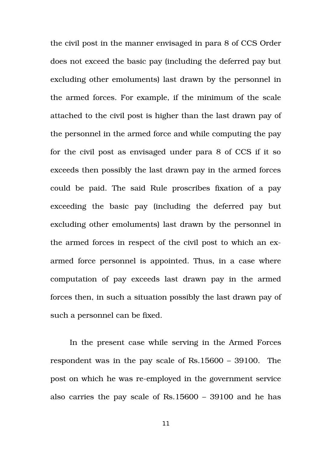the civil post in the manner envisaged in para 8 of CCS Order does not exceed the basic pay (including the deferred pay but excluding other emoluments) last drawn by the personnel in the armed forces. For example, if the minimum of the scale attached to the civil post is higher than the last drawn pay of the personnel in the armed force and while computing the pay for the civil post as envisaged under para 8 of CCS if it so exceeds then possibly the last drawn pay in the armed forces could be paid. The said Rule proscribes fixation of a pay exceeding the basic pay (including the deferred pay but excluding other emoluments) last drawn by the personnel in the armed forces in respect of the civil post to which an exarmed force personnel is appointed. Thus, in a case where computation of pay exceeds last drawn pay in the armed forces then, in such a situation possibly the last drawn pay of such a personnel can be fixed.

In the present case while serving in the Armed Forces respondent was in the pay scale of Rs.15600 – 39100. The post on which he was re-employed in the government service also carries the pay scale of Rs.15600 – 39100 and he has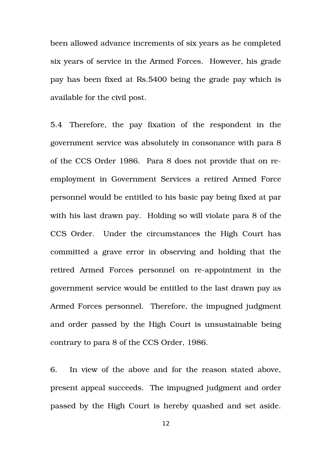been allowed advance increments of six years as he completed six years of service in the Armed Forces. However, his grade pay has been fixed at Rs.5400 being the grade pay which is available for the civil post.

5.4 Therefore, the pay fixation of the respondent in the government service was absolutely in consonance with para 8 of the CCS Order 1986. Para 8 does not provide that on reemployment in Government Services a retired Armed Force personnel would be entitled to his basic pay being fixed at par with his last drawn pay. Holding so will violate para 8 of the CCS Order. Under the circumstances the High Court has committed a grave error in observing and holding that the retired Armed Forces personnel on re-appointment in the government service would be entitled to the last drawn pay as Armed Forces personnel. Therefore, the impugned judgment and order passed by the High Court is unsustainable being contrary to para 8 of the CCS Order, 1986.

6. In view of the above and for the reason stated above, present appeal succeeds. The impugned judgment and order passed by the High Court is hereby quashed and set aside.